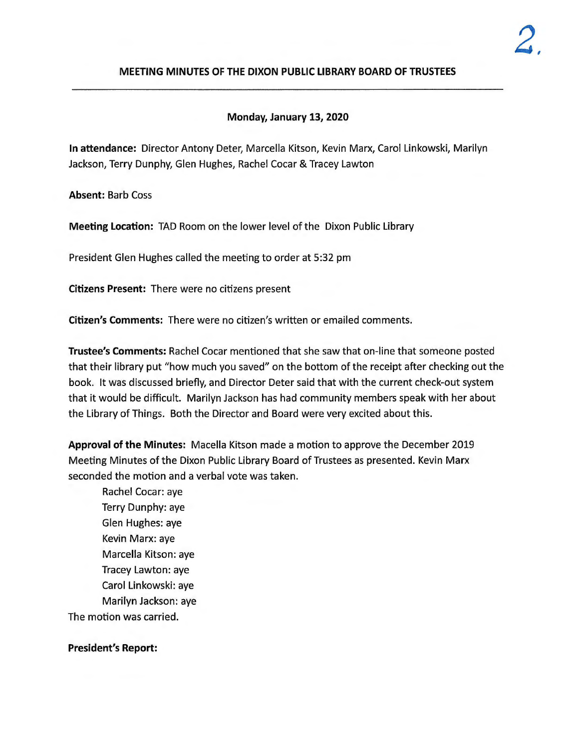## **MEETING MINUTES OF THE DIXON PUBLIC LIBRARY BOARD OF TRUSTEES**

## **Monday, January 13, 2020**

**In attendance:** Director Antony Deter, Marcella Kitson, Kevin Marx, Carol Linkowski, Marilyn Jackson, Terry Dunphy, Glen Hughes, Rachel Cocar & Tracey Lawton

**Absent:** Barb Coss

**Meeting Location:** TAD Room on the lower level of the Dixon Public Library

President Glen Hughes called the meeting to order at 5:32 pm

**Citizens Present:** There were no citizens present

**Citizen's Comments:** There were no citizen's written or emailed comments.

**Trustee's Comments:** Rachel Cocar mentioned that she saw that on-line that someone posted that their library put "how much you saved" on the bottom of the receipt after checking out the book. It was discussed briefly, and Director Deter said that with the current check-out system that it would be difficult. Marilyn Jackson has had community members speak with her about the Library of Things. Both the Director and Board were very excited about this.

**Approval of the Minutes:** Macella Kitson made a motion to approve the December 2019 Meeting Minutes of the Dixon Public Library Board of Trustees as presented. Kevin Marx seconded the motion and a verbal vote was taken.

Rachel Cocar: aye Terry Dunphy: aye Glen Hughes: aye Kevin Marx: aye Marcella Kitson: aye Tracey Lawton: aye Carol Linkowski: aye Marilyn Jackson: aye The motion was carried.

## **President's Report:**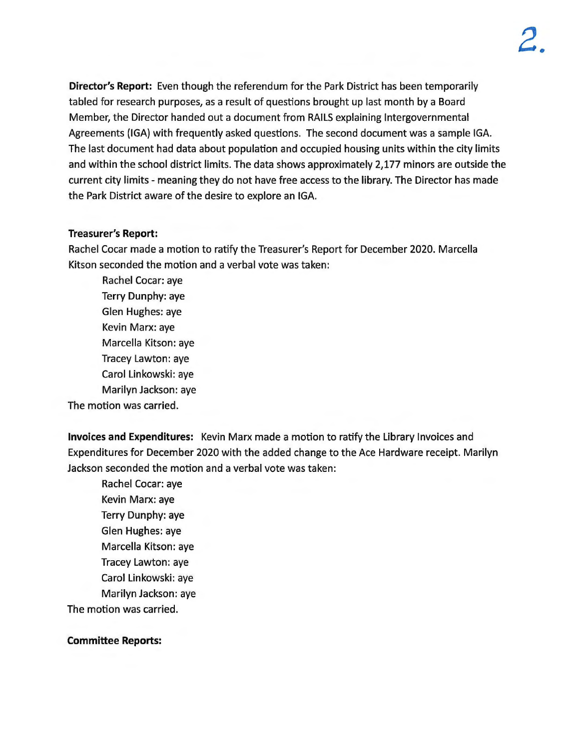**Director's Report:** Even though the referendum for the Park District has been temporarily tabled for research purposes, as a result of questions brought up last month by a Board Member, the Director handed out a document from RAILS explaining Intergovernmental Agreements (IGA} with frequently asked questions. The second document was a sample IGA. The last document had data about population and occupied housing units within the city limits and within the school district limits. The data shows approximately 2,177 minors are outside the current city limits - meaning they do not have free access to the library. The Director has made the Park District aware of the desire to explore an IGA.

## **Treasurer's Report:**

Rachel Cocar made a motion to ratify the Treasurer's Report for December 2020. Marcella Kitson seconded the motion and a verbal vote was taken:

Rachel Cocar: aye Terry Dunphy: aye Glen Hughes: aye Kevin Marx: aye Marcella Kitson: aye Tracey Lawton: aye Carol Linkowski: aye Marilyn Jackson: aye

The motion was carried.

**Invoices and Expenditures:** Kevin Marx made a motion to ratify the Library Invoices and Expenditures for December 2020 with the added change to the Ace Hardware receipt. Marilyn Jackson seconded the motion and a verbal vote was taken:

Rachel Cocar: aye Kevin Marx: aye Terry Dunphy: aye Glen Hughes: aye Marcella Kitson: aye Tracey Lawton: aye Carol Linkowski: aye Marilyn Jackson: aye The motion was carried.

# **Committee Reports:**